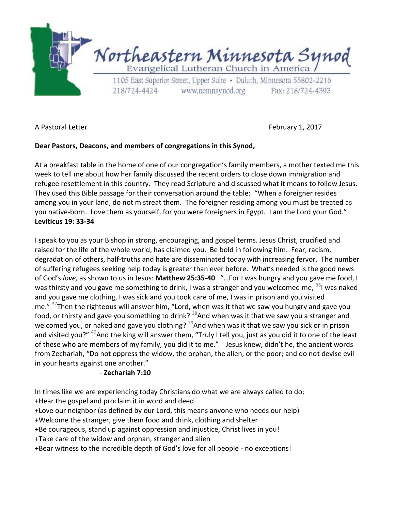

A Pastoral Letter February 1, 2017

## **Dear Pastors, Deacons, and members of congregations in this Synod,**

At a breakfast table in the home of one of our congregation's family members, a mother texted me this week to tell me about how her family discussed the recent orders to close down immigration and refugee resettlement in this country. They read Scripture and discussed what it means to follow Jesus. They used this Bible passage for their conversation around the table: "When a foreigner resides among you in your land, do not mistreat them. The foreigner residing among you must be treated as you native-born. Love them as yourself, for you were foreigners in Egypt. I am the Lord your God." **Leviticus 19: 33-34** 

I speak to you as your Bishop in strong, encouraging, and gospel terms. Jesus Christ, crucified and raised for the life of the whole world, has claimed you. Be bold in following him. Fear, racism, degradation of others, half-truths and hate are disseminated today with increasing fervor. The number of suffering refugees seeking help today is greater than ever before. What's needed is the good news of God's *love,* as shown to us in Jesus: **Matthew 25:35-40** "…For I was hungry and you gave me food, I was thirsty and you gave me something to drink, I was a stranger and you welcomed me, <sup>36</sup>I was naked and you gave me clothing, I was sick and you took care of me, I was in prison and you visited me." <sup>37</sup>Then the righteous will answer him, "Lord, when was it that we saw you hungry and gave you food, or thirsty and gave you something to drink?  $38$ And when was it that we saw you a stranger and welcomed you, or naked and gave you clothing? <sup>39</sup>And when was it that we saw you sick or in prison and visited you?" <sup>40</sup>And the king will answer them, "Truly I tell you, just as you did it to one of the least of these who are members of my family, you did it to me." Jesus knew, didn't he, the ancient words from Zechariah, "Do not oppress the widow, the orphan, the alien, or the poor; and do not devise evil in your hearts against one another."

## - **Zechariah 7:10**

In times like we are experiencing today Christians do what we are always called to do; +Hear the gospel and proclaim it in word and deed +Love our neighbor (as defined by our Lord, this means anyone who needs our help) +Welcome the stranger, give them food and drink, clothing and shelter +Be courageous, stand up against oppression and injustice, Christ lives in you! +Take care of the widow and orphan, stranger and alien +Bear witness to the incredible depth of God's love for all people - no exceptions!